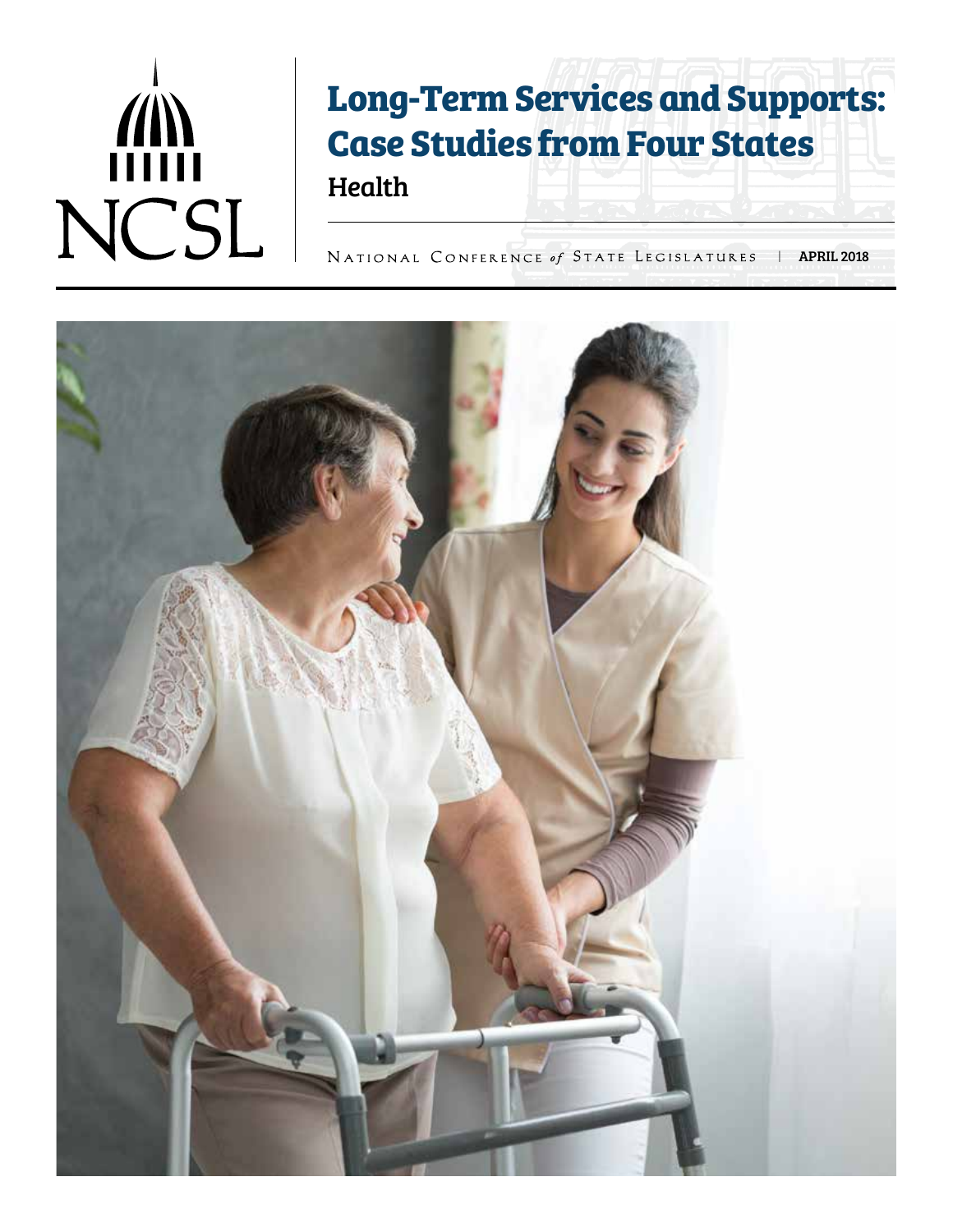# NCSL

## **Long-Term Services and Supports: Case Studies from Four States**

Health

NATIONAL CONFERENCE of STATE LEGISLATURES | APRIL 2018

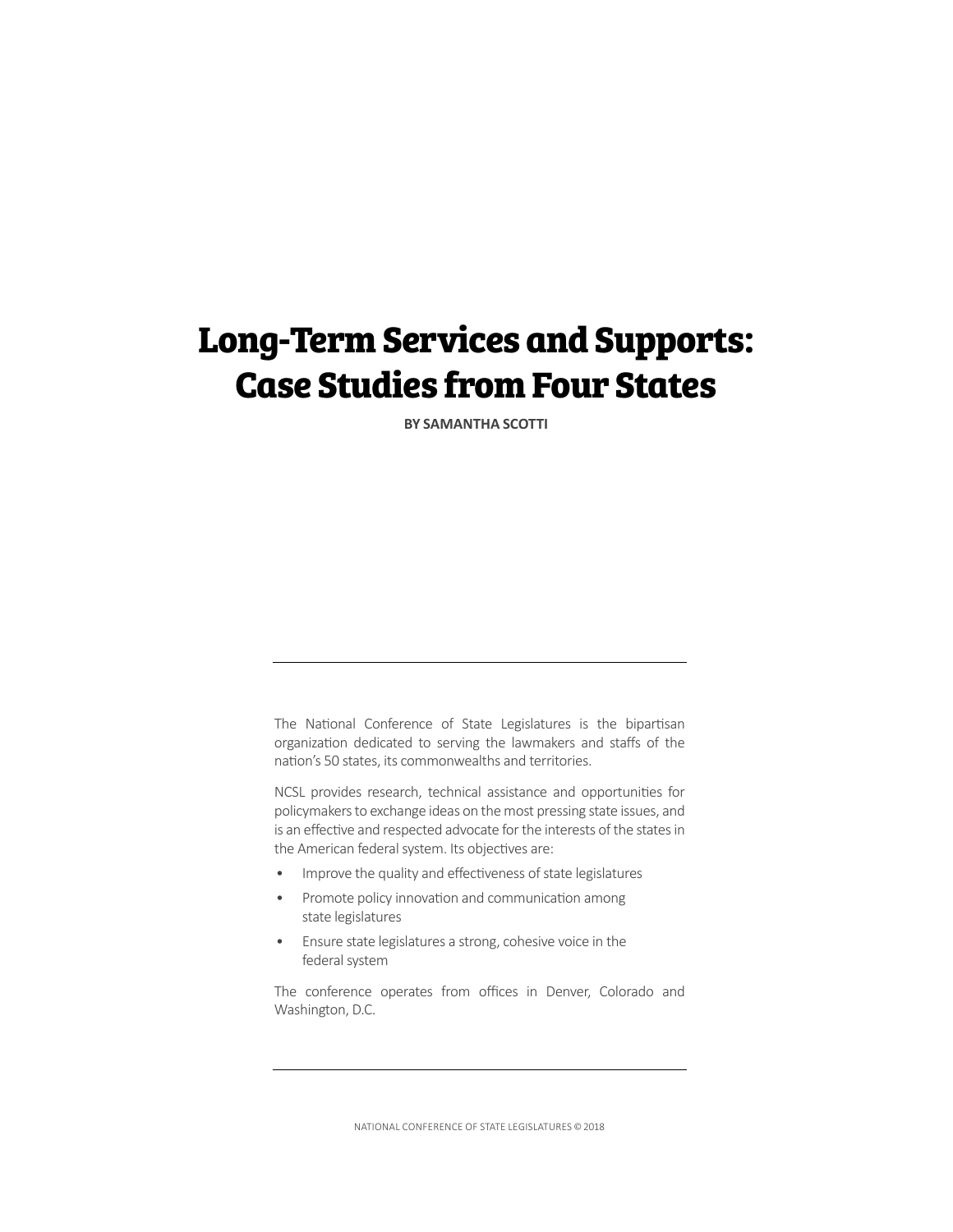#### **Long-Term Services and Supports: Case Studies from Four States**

**BY SAMANTHA SCOTTI**

The National Conference of State Legislatures is the bipartisan organization dedicated to serving the lawmakers and staffs of the nation's 50 states, its commonwealths and territories.

NCSL provides research, technical assistance and opportunities for policymakers to exchange ideas on the most pressing state issues, and is an effective and respected advocate for the interests of the states in the American federal system. Its objectives are:

- Improve the quality and effectiveness of state legislatures
- Promote policy innovation and communication among state legislatures
- Ensure state legislatures a strong, cohesive voice in the federal system

The conference operates from offices in Denver, Colorado and Washington, D.C.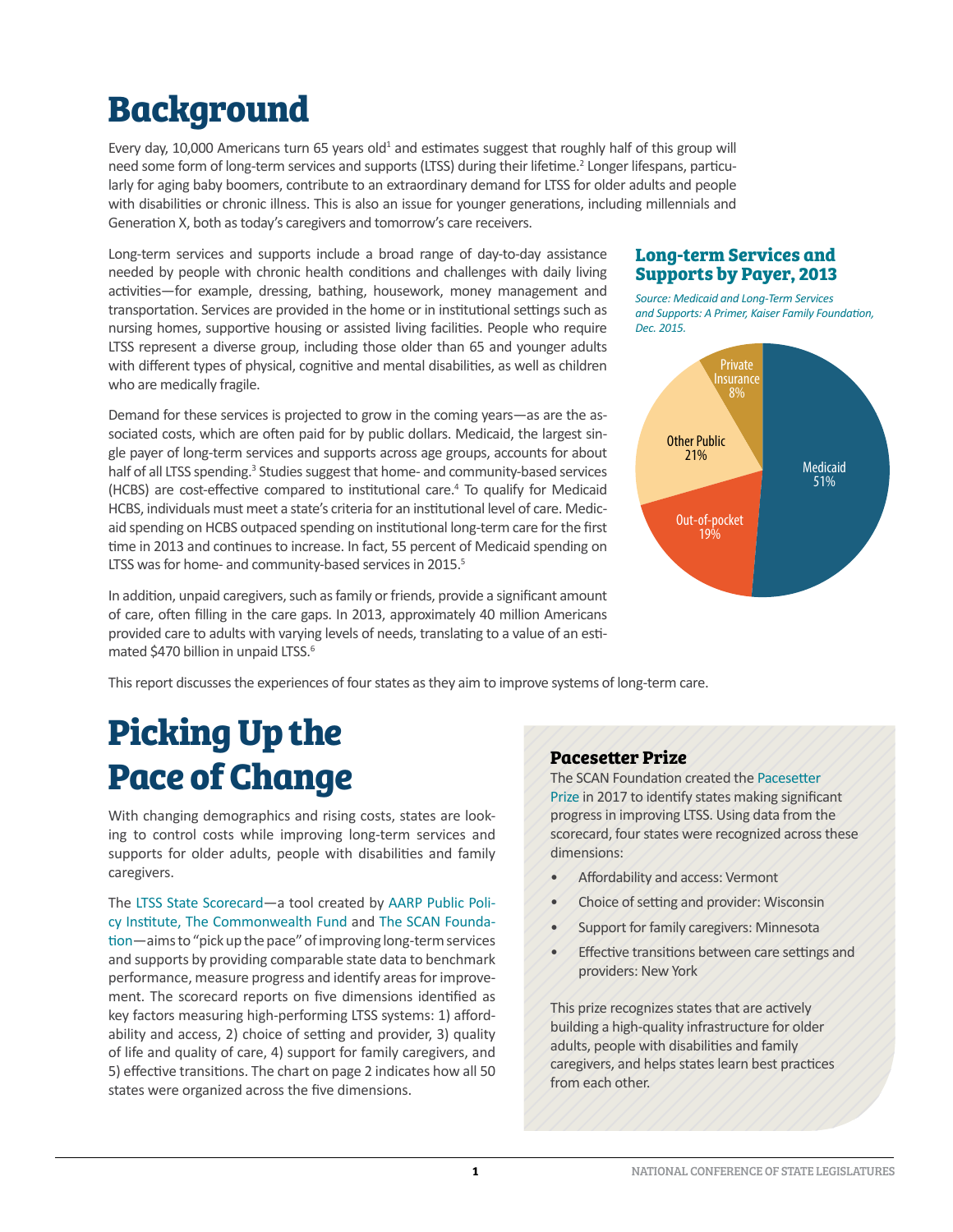## **Background**

Every day, 10,000 Americans turn 65 years old<sup>1</sup> and estimates suggest that roughly half of this group will need some form of long-term services and supports (LTSS) during their lifetime.<sup>2</sup> Longer lifespans, particularly for aging baby boomers, contribute to an extraordinary demand for LTSS for older adults and people with disabilities or chronic illness. This is also an issue for younger generations, including millennials and Generation X, both as today's caregivers and tomorrow's care receivers.

Long-term services and supports include a broad range of day-to-day assistance needed by people with chronic health conditions and challenges with daily living activities—for example, dressing, bathing, housework, money management and transportation. Services are provided in the home or in institutional settings such as nursing homes, supportive housing or assisted living facilities. People who require LTSS represent a diverse group, including those older than 65 and younger adults with different types of physical, cognitive and mental disabilities, as well as children who are medically fragile.

Demand for these services is projected to grow in the coming years—as are the associated costs, which are often paid for by public dollars. Medicaid, the largest single payer of long-term services and supports across age groups, accounts for about half of all LTSS spending.<sup>3</sup> Studies suggest that home- and community-based services (HCBS) are cost-effective compared to institutional care.<sup>4</sup> To qualify for Medicaid HCBS, individuals must meet a state's criteria for an institutional level of care. Medicaid spending on HCBS outpaced spending on institutional long-term care for the first time in 2013 and continues to increase. In fact, 55 percent of Medicaid spending on LTSS was for home- and community-based services in 2015.<sup>5</sup>

In addition, unpaid caregivers, such as family or friends, provide a significant amount of care, often filling in the care gaps. In 2013, approximately 40 million Americans provided care to adults with varying levels of needs, translating to a value of an estimated \$470 billion in unpaid LTSS.<sup>6</sup>

#### **Long-term Services and Supports by Payer, 2013**

*Source: Medicaid and Long-Term Services and Supports: A Primer, Kaiser Family Foundation, Dec. 2015.*



This report discusses the experiences of four states as they aim to improve systems of long-term care.

## **Picking Up the Pace of Change**

With changing demographics and rising costs, states are looking to control costs while improving long-term services and supports for older adults, people with disabilities and family caregivers.

The [LTSS State Scorecard](http://www.longtermscorecard.org/~/media/Microsite/Files/2017/2017%20Scorecard/1_Detailed%20Findings%20by%20Dimension.pdf)—a tool created by [AARP Public Poli](http://www.aarp.org/ppi/blic Policy Institute)[cy Institute](http://www.aarp.org/ppi/blic Policy Institute), [The Commonwealth Fund](http://www.commonwealthfund.org/) and [The SCAN Founda](http://www.thescanfoundation.org/)[tion](http://www.thescanfoundation.org/)—aims to "pick up the pace" of improving long-term services and supports by providing comparable state data to benchmark performance, measure progress and identify areas for improvement. The scorecard reports on five dimensions identified as key factors measuring high-performing LTSS systems: 1) affordability and access, 2) choice of setting and provider, 3) quality of life and quality of care, 4) support for family caregivers, and 5) effective transitions. The chart on page 2 indicates how all 50 states were organized across the five dimensions.

#### **Pacesetter Prize**

The SCAN Foundation created the [Pacesetter](http://www.thescanfoundation.org/pacesetter-prize)  [Prize](http://www.thescanfoundation.org/pacesetter-prize) in 2017 to identify states making significant progress in improving LTSS. Using data from the scorecard, four states were recognized across these dimensions:

- Affordability and access: Vermont
- Choice of setting and provider: Wisconsin
- Support for family caregivers: Minnesota
- Effective transitions between care settings and providers: New York

This prize recognizes states that are actively building a high-quality infrastructure for older adults, people with disabilities and family caregivers, and helps states learn best practices from each other.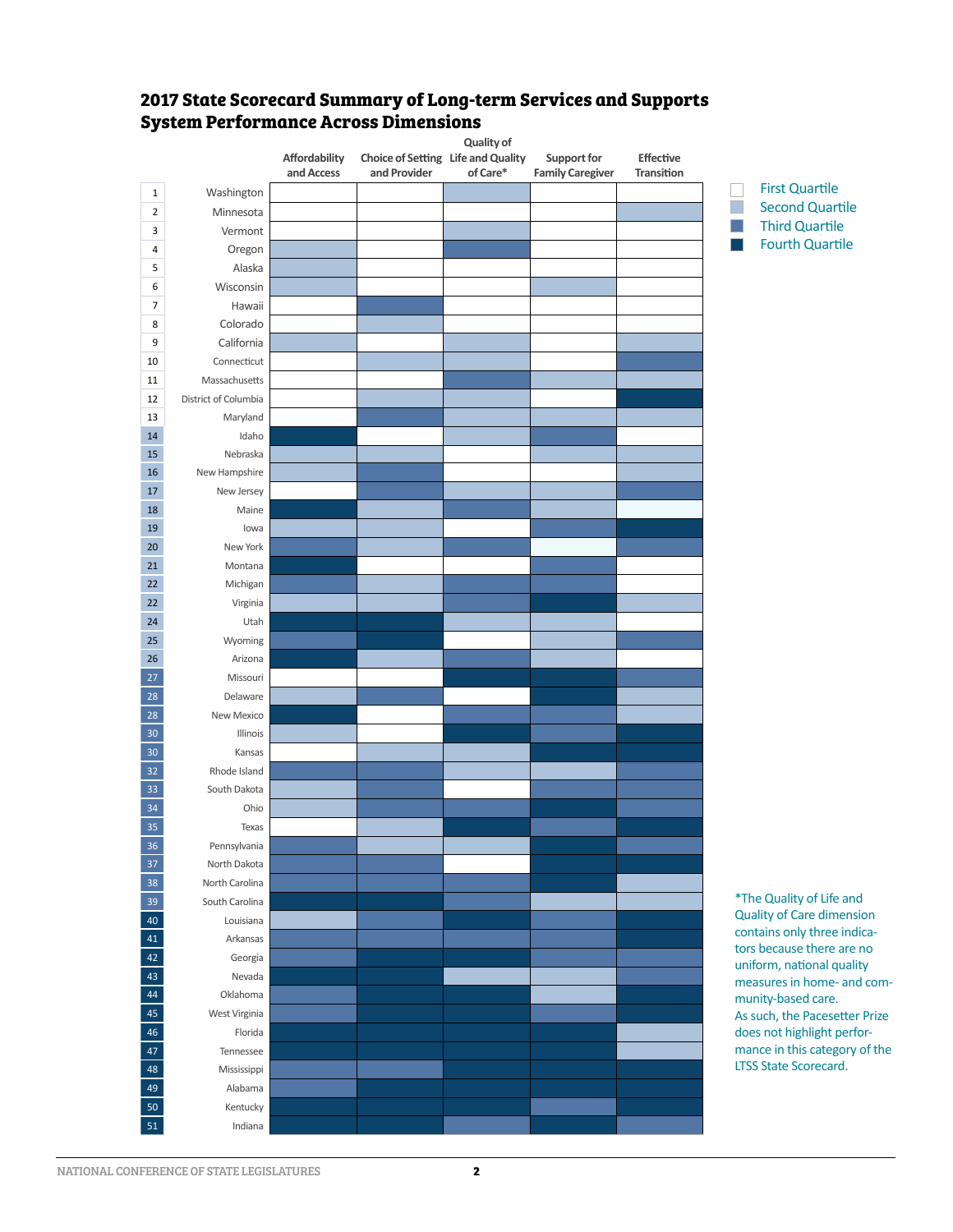

#### **2017 State Scorecard Summary of Long-term Services and Supports System Performance Across Dimensions**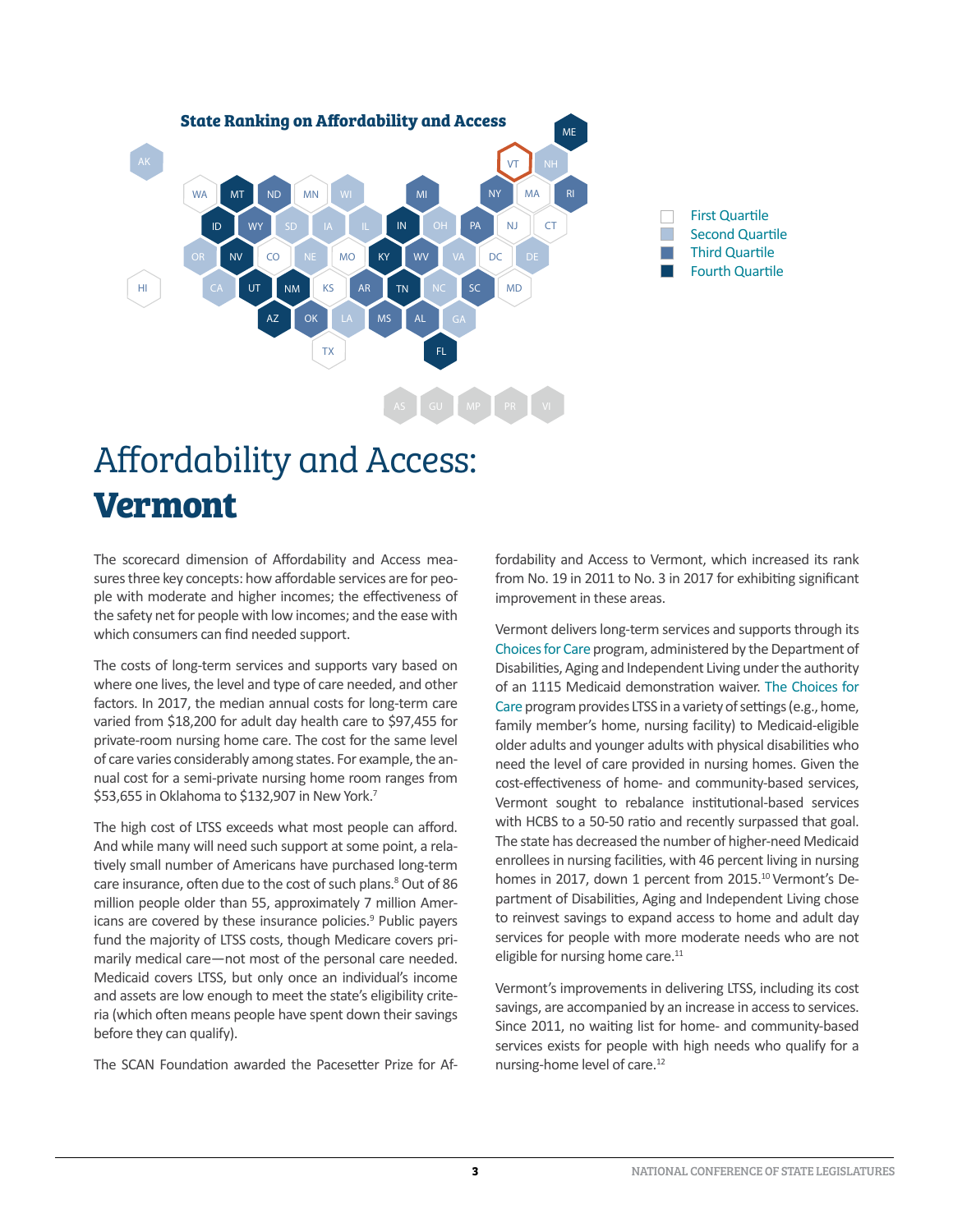

## [Affordability and Access:](http://www.thescanfoundation.org/sites/default/files/pacesetter_prize_vermont_one-pager_final.pdf) **Vermont**

The scorecard dimension of Affordability and Access measures three key concepts: how affordable services are for people with moderate and higher incomes; the effectiveness of the safety net for people with low incomes; and the ease with which consumers can find needed support.

The costs of long-term services and supports vary based on where one lives, the level and type of care needed, and other factors. In 2017, the median annual costs for long-term care varied from \$18,200 for adult day health care to \$97,455 for private-room nursing home care. The cost for the same level of care varies considerably among states. For example, the annual cost for a semi-private nursing home room ranges from \$53,655 in Oklahoma to \$132,907 in New York.<sup>7</sup>

The high cost of LTSS exceeds what most people can afford. And while many will need such support at some point, a relatively small number of Americans have purchased long-term care insurance, often due to the cost of such plans.<sup>8</sup> Out of 86 million people older than 55, approximately 7 million Americans are covered by these insurance policies.<sup>9</sup> Public payers fund the majority of LTSS costs, though Medicare covers primarily medical care—not most of the personal care needed. Medicaid covers LTSS, but only once an individual's income and assets are low enough to meet the state's eligibility criteria (which often means people have spent down their savings before they can qualify).

The SCAN Foundation awarded the Pacesetter Prize for Af-

fordability and Access to Vermont, which increased its rank from No. 19 in 2011 to No. 3 in 2017 for exhibiting significant improvement in these areas.

Vermont delivers long-term services and supports through its Choices for Care program, administered by the Department of Disabilities, Aging and Independent Living under the authority of an 1115 Medicaid demonstration waiver. [The Choices for](http://asd.vermont.gov/services/choices-for-care-program) [Care](http://asd.vermont.gov/services/choices-for-care-program) program provides LTSS in a variety of settings (e.g., home, family member's home, nursing facility) to Medicaid-eligible older adults and younger adults with physical disabilities who need the level of care provided in nursing homes. Given the cost-effectiveness of home- and community-based services, Vermont sought to rebalance institutional-based services with HCBS to a 50-50 ratio and recently surpassed that goal. The state has decreased the number of higher-need Medicaid enrollees in nursing facilities, with 46 percent living in nursing homes in 2017, down 1 percent from 2015.<sup>10</sup> Vermont's Department of Disabilities, Aging and Independent Living chose to reinvest savings to expand access to home and adult day services for people with more moderate needs who are not eligible for nursing home care.<sup>11</sup>

Vermont's improvements in delivering LTSS, including its cost savings, are accompanied by an increase in access to services. Since 2011, no waiting list for home- and community-based services exists for people with high needs who qualify for a nursing-home level of care.<sup>12</sup>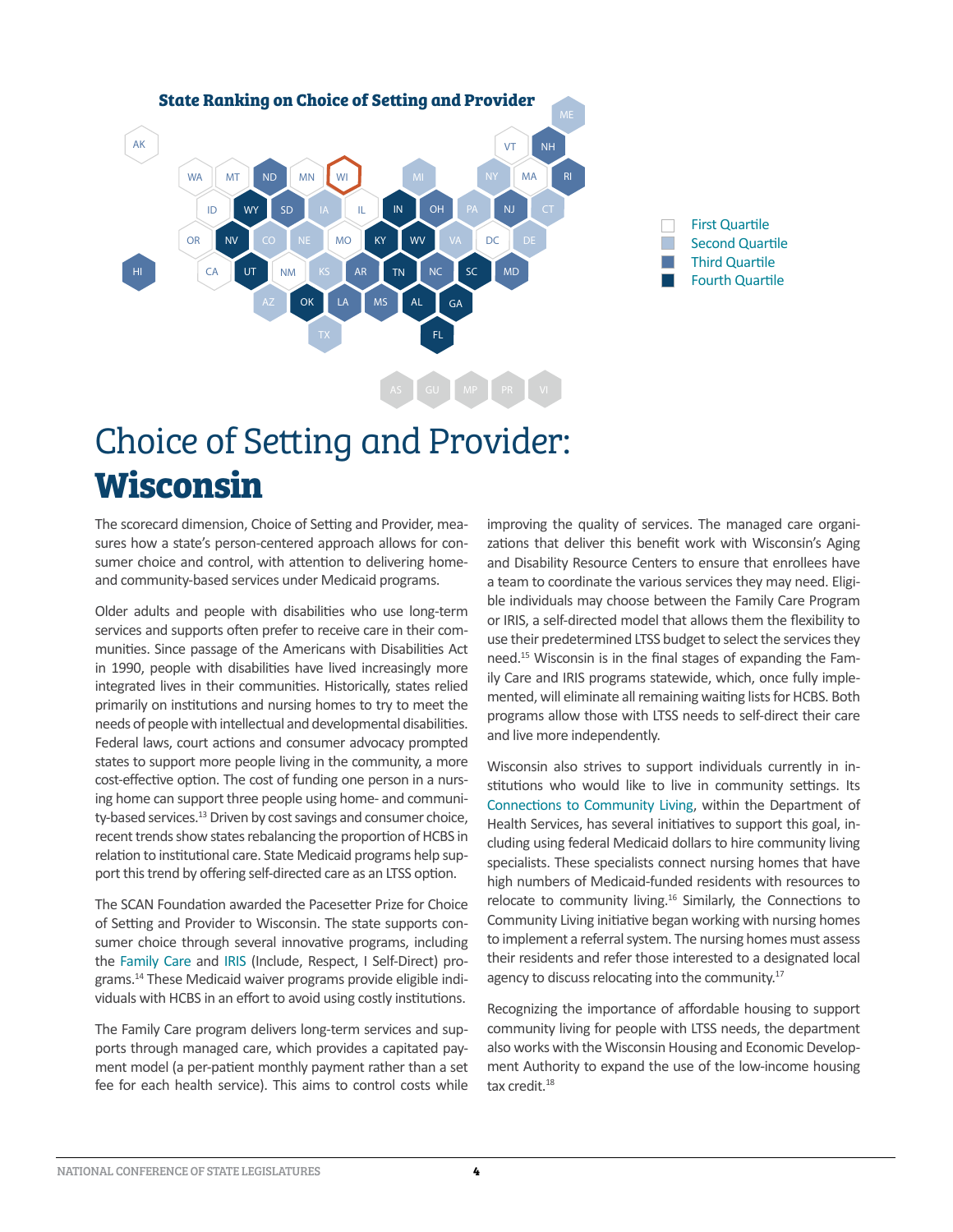

## [Choice of Setting and Provider](http://www.thescanfoundation.org/sites/default/files/pacesetter_prize_wisconsin_one-pager_final.pdf): **Wisconsin**

The scorecard dimension, Choice of Setting and Provider, measures how a state's person-centered approach allows for consumer choice and control, with attention to delivering homeand community-based services under Medicaid programs.

Older adults and people with disabilities who use long-term services and supports often prefer to receive care in their communities. Since passage of the Americans with Disabilities Act in 1990, people with disabilities have lived increasingly more integrated lives in their communities. Historically, states relied primarily on institutions and nursing homes to try to meet the needs of people with intellectual and developmental disabilities. Federal laws, court actions and consumer advocacy prompted states to support more people living in the community, a more cost-effective option. The cost of funding one person in a nursing home can support three people using home- and community-based services.<sup>13</sup> Driven by cost savings and consumer choice, recent trends show states rebalancing the proportion of HCBS in relation to institutional care. State Medicaid programs help support this trend by offering self-directed care as an LTSS option.

The SCAN Foundation awarded the Pacesetter Prize for Choice of Setting and Provider to Wisconsin. The state supports consumer choice through several innovative programs, including the [Family Care](https://www.dhs.wisconsin.gov/familycare/index.htm) and [IRIS](https://www.dhs.wisconsin.gov/iris/index.htm) (Include, Respect, I Self-Direct) programs.14 These Medicaid waiver programs provide eligible individuals with HCBS in an effort to avoid using costly institutions.

The Family Care program delivers long-term services and supports through managed care, which provides a capitated payment model (a per-patient monthly payment rather than a set fee for each health service). This aims to control costs while improving the quality of services. The managed care organizations that deliver this benefit work with Wisconsin's Aging and Disability Resource Centers to ensure that enrollees have a team to coordinate the various services they may need. Eligible individuals may choose between the Family Care Program or IRIS, a self-directed model that allows them the flexibility to use their predetermined LTSS budget to select the services they need.15 Wisconsin is in the final stages of expanding the Family Care and IRIS programs statewide, which, once fully implemented, will eliminate all remaining waiting lists for HCBS. Both programs allow those with LTSS needs to self-direct their care and live more independently.

Wisconsin also strives to support individuals currently in institutions who would like to live in community settings. Its [Connections to Community Living,](https://www.dhs.wisconsin.gov/ccl/index.htm) within the Department of Health Services, has several initiatives to support this goal, including using federal Medicaid dollars to hire community living specialists. These specialists connect nursing homes that have high numbers of Medicaid-funded residents with resources to relocate to community living.<sup>16</sup> Similarly, the Connections to Community Living initiative began working with nursing homes to implement a referral system. The nursing homes must assess their residents and refer those interested to a designated local agency to discuss relocating into the community.<sup>17</sup>

Recognizing the importance of affordable housing to support community living for people with LTSS needs, the department also works with the Wisconsin Housing and Economic Development Authority to expand the use of the low-income housing tax credit.<sup>18</sup>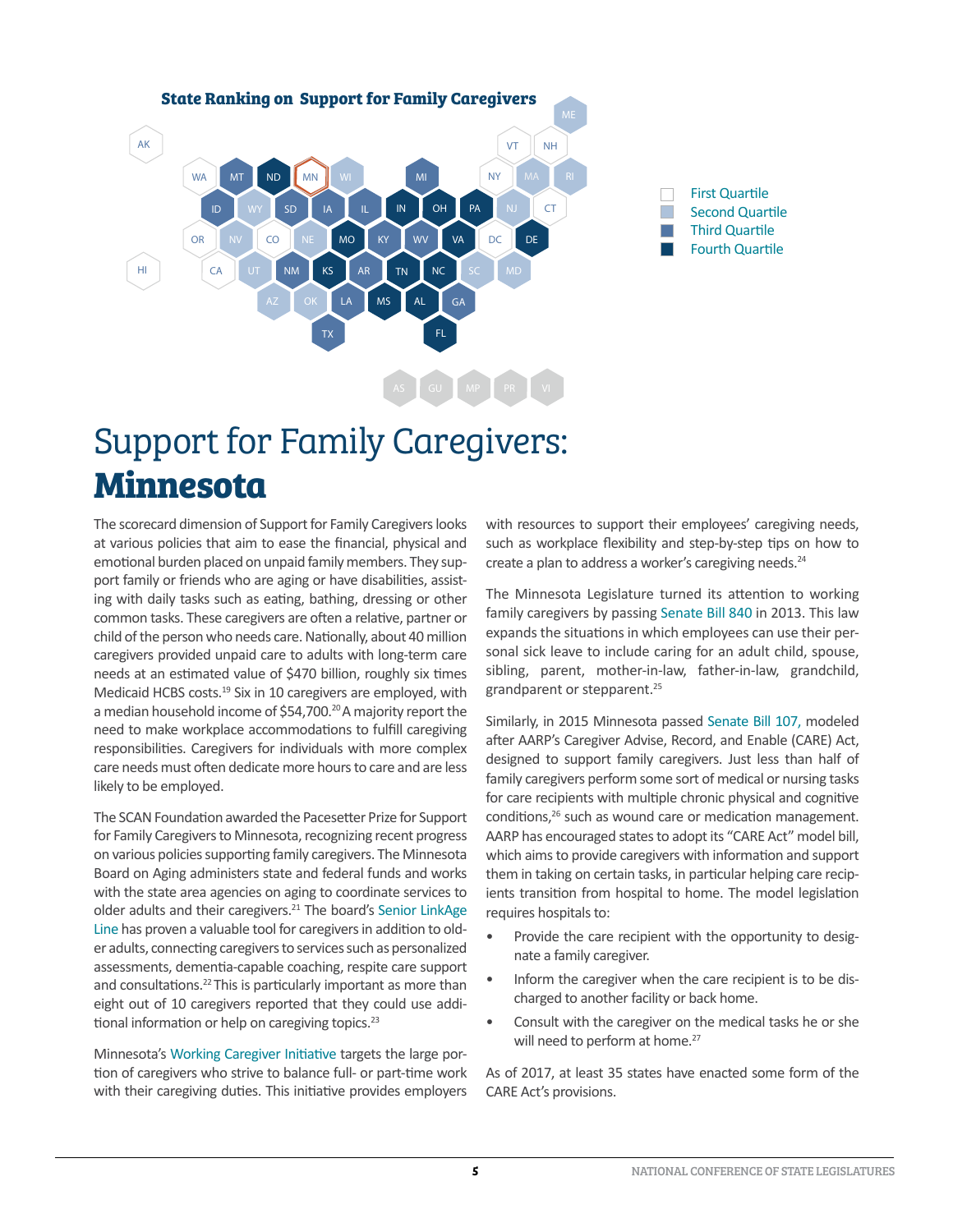

## [Support for Family Caregivers](https://www.thescanfoundation.org/sites/default/files/pacesetter_prize_minnesota_one-pager_final.pdf): **Minnesota**

The scorecard dimension of Support for Family Caregivers looks at various policies that aim to ease the financial, physical and emotional burden placed on unpaid family members. They support family or friends who are aging or have disabilities, assisting with daily tasks such as eating, bathing, dressing or other common tasks. These caregivers are often a relative, partner or child of the person who needs care. Nationally, about 40 million caregivers provided unpaid care to adults with long-term care needs at an estimated value of \$470 billion, roughly six times Medicaid HCBS costs.<sup>19</sup> Six in 10 caregivers are employed, with a median household income of \$54,700.<sup>20</sup> A majority report the need to make workplace accommodations to fulfill caregiving responsibilities. Caregivers for individuals with more complex care needs must often dedicate more hours to care and are less likely to be employed.

The SCAN Foundation awarded the Pacesetter Prize for Support for Family Caregivers to Minnesota, recognizing recent progress on various policies supporting family caregivers. The Minnesota Board on Aging administers state and federal funds and works with the state area agencies on aging to coordinate services to older adults and their caregivers.<sup>21</sup> The board's [Senior LinkAge](http://www.mnaging.org/advisor/SLL.htm) [Line](http://www.mnaging.org/advisor/SLL.htm) has proven a valuable tool for caregivers in addition to older adults, connecting caregivers to services such as personalized assessments, dementia-capable coaching, respite care support and consultations.<sup>22</sup> This is particularly important as more than eight out of 10 caregivers reported that they could use additional information or help on caregiving topics.<sup>23</sup>

Minnesota's [Working Caregiver Initiative](http://www.mnaging.org/Advisor/EmployersCaregivers.aspx) targets the large portion of caregivers who strive to balance full- or part-time work with their caregiving duties. This initiative provides employers with resources to support their employees' caregiving needs, such as workplace flexibility and step-by-step tips on how to create a plan to address a worker's caregiving needs.<sup>24</sup>

The Minnesota Legislature turned its attention to working family caregivers by passing [Senate Bill 840](https://www.revisor.mn.gov/bills/text.php?number=SF840&session_year=2013&session_number=0&version=latest) in 2013. This law expands the situations in which employees can use their personal sick leave to include caring for an adult child, spouse, sibling, parent, mother-in-law, father-in-law, grandchild, grandparent or stepparent.<sup>25</sup>

Similarly, in 2015 Minnesota passed [Senate Bill 107](https://www.revisor.mn.gov/bills/bill.php?f=SF107&b=senate&y=2015&ssn=0), modeled after AARP's Caregiver Advise, Record, and Enable (CARE) Act, designed to support family caregivers. Just less than half of family caregivers perform some sort of medical or nursing tasks for care recipients with multiple chronic physical and cognitive conditions,<sup>26</sup> such as wound care or medication management. AARP has encouraged states to adopt its "CARE Act" model bill, which aims to provide caregivers with information and support them in taking on certain tasks, in particular helping care recipients transition from hospital to home. The model legislation requires hospitals to:

- Provide the care recipient with the opportunity to designate a family caregiver.
- Inform the caregiver when the care recipient is to be discharged to another facility or back home.
- Consult with the caregiver on the medical tasks he or she will need to perform at home.<sup>27</sup>

As of 2017, at least 35 states have enacted some form of the CARE Act's provisions.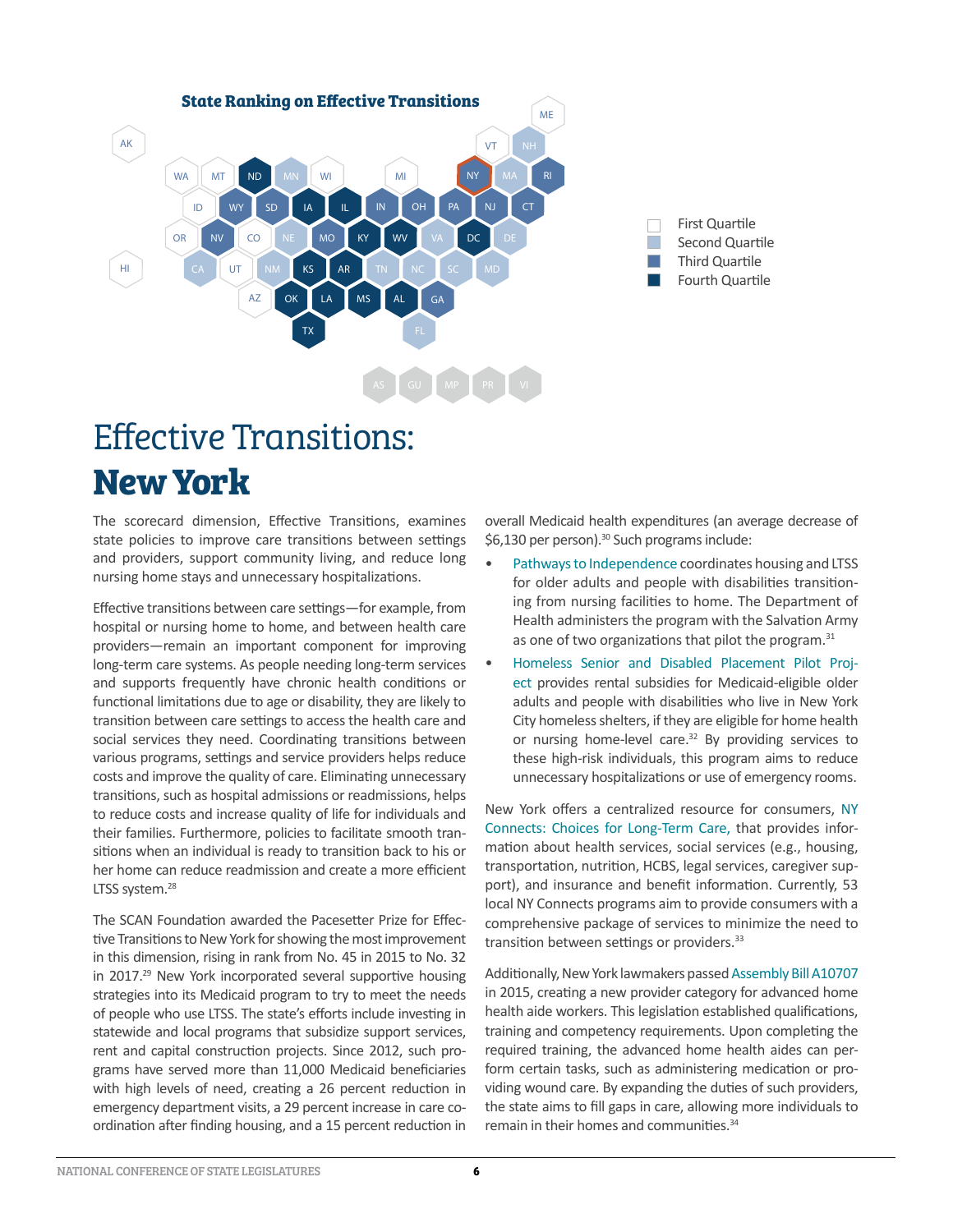

## [Effective Transitions:](http://www.thescanfoundation.org/sites/default/files/pacesetter_prizes_new_york_one-pager_final.pdf) **New York**

The scorecard dimension, Effective Transitions, examines state policies to improve care transitions between settings and providers, support community living, and reduce long nursing home stays and unnecessary hospitalizations.

Effective transitions between care settings—for example, from hospital or nursing home to home, and between health care providers—remain an important component for improving long-term care systems. As people needing long-term services and supports frequently have chronic health conditions or functional limitations due to age or disability, they are likely to transition between care settings to access the health care and social services they need. Coordinating transitions between various programs, settings and service providers helps reduce costs and improve the quality of care. Eliminating unnecessary transitions, such as hospital admissions or readmissions, helps to reduce costs and increase quality of life for individuals and their families. Furthermore, policies to facilitate smooth transitions when an individual is ready to transition back to his or her home can reduce readmission and create a more efficient LTSS system.<sup>28</sup>

The SCAN Foundation awarded the Pacesetter Prize for Effective Transitions to New York for showing the most improvement in this dimension, rising in rank from No. 45 in 2015 to No. 32 in 2017.<sup>29</sup> New York incorporated several supportive housing strategies into its Medicaid program to try to meet the needs of people who use LTSS. The state's efforts include investing in statewide and local programs that subsidize support services, rent and capital construction projects. Since 2012, such programs have served more than 11,000 Medicaid beneficiaries with high levels of need, creating a 26 percent reduction in emergency department visits, a 29 percent increase in care coordination after finding housing, and a 15 percent reduction in

overall Medicaid health expenditures (an average decrease of \$6,130 per person).<sup>30</sup> Such programs include:

- [Pathways to Independence](https://syracuseny.salvationarmy.org/SyracuseNY/pathways) coordinates housing and LTSS for older adults and people with disabilities transitioning from nursing facilities to home. The Department of Health administers the program with the Salvation Army as one of two organizations that pilot the program.<sup>31</sup>
- [Homeless Senior and Disabled Placement Pilot Proj](https://otda.ny.gov/programs/housing/spu.asp)[ect](https://otda.ny.gov/programs/housing/spu.asp) provides rental subsidies for Medicaid-eligible older adults and people with disabilities who live in New York City homeless shelters, if they are eligible for home health or nursing home-level care.<sup>32</sup> By providing services to these high-risk individuals, this program aims to reduce unnecessary hospitalizations or use of emergency rooms.

New York offers a centralized resource for consumers, [NY](https://aging.ny.gov/NYSOFA/Programs/CaregiverSvcs/NYConnects.cfm)  [Connects: Choices for Long-Term Care](https://aging.ny.gov/NYSOFA/Programs/CaregiverSvcs/NYConnects.cfm), that provides information about health services, social services (e.g., housing, transportation, nutrition, HCBS, legal services, caregiver support), and insurance and benefit information. Currently, 53 local NY Connects programs aim to provide consumers with a comprehensive package of services to minimize the need to transition between settings or providers.<sup>33</sup>

Additionally, New York lawmakers passed A[ssembly Bill A10707](https://www.nysenate.gov/legislation/bills/2015/A10707) in 2015, creating a new provider category for advanced home health aide workers. This legislation established qualifications, training and competency requirements. Upon completing the required training, the advanced home health aides can perform certain tasks, such as administering medication or providing wound care. By expanding the duties of such providers, the state aims to fill gaps in care, allowing more individuals to remain in their homes and communities.<sup>34</sup>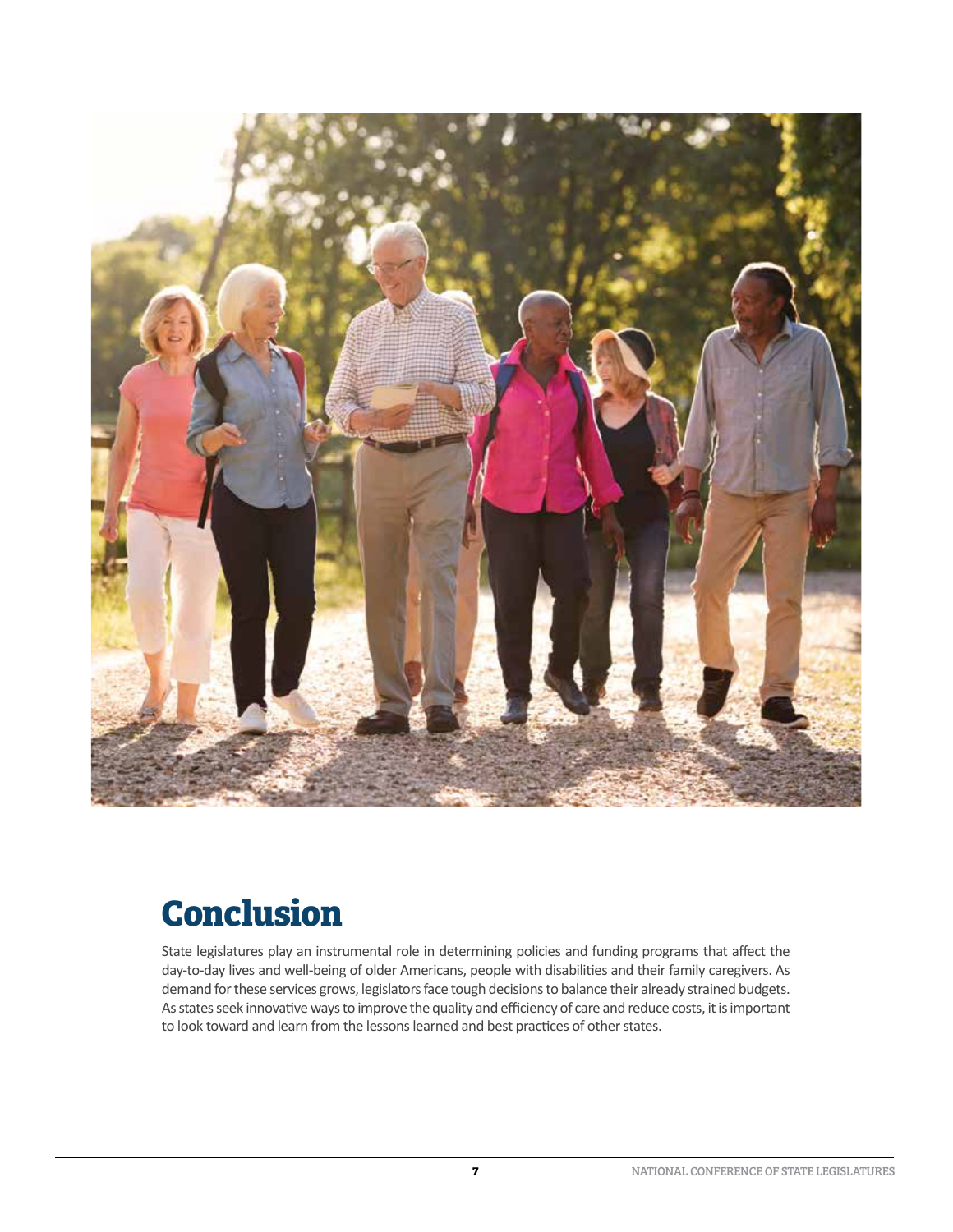

#### **Conclusion**

State legislatures play an instrumental role in determining policies and funding programs that affect the day-to-day lives and well-being of older Americans, people with disabilities and their family caregivers. As demand for these services grows, legislators face tough decisions to balance their already strained budgets. As states seek innovative ways to improve the quality and efficiency of care and reduce costs, it is important to look toward and learn from the lessons learned and best practices of other states.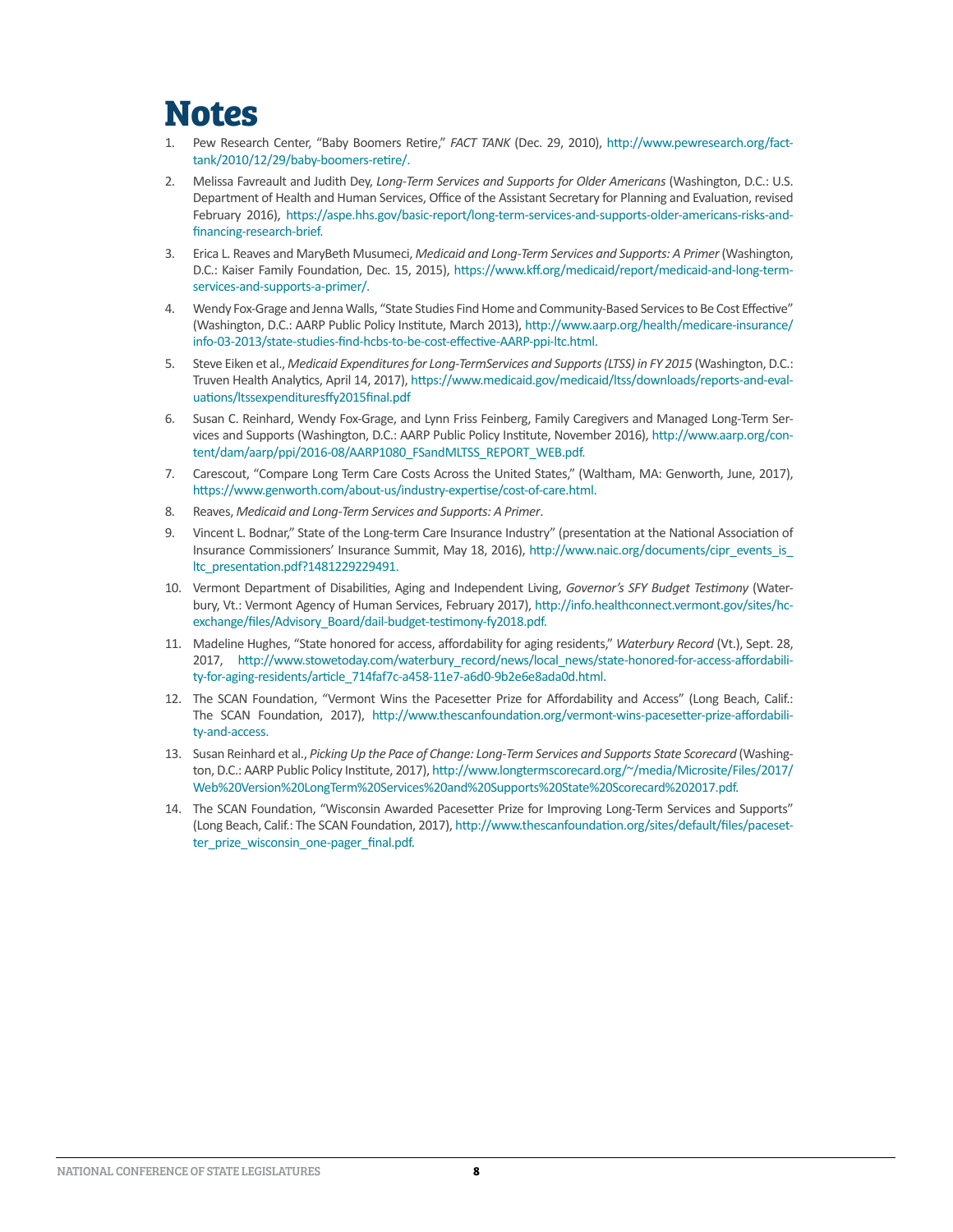#### **Notes**

- 1. Pew Research Center, "Baby Boomers Retire," *FACT TANK* (Dec. 29, 2010), [http://www.pewresearch.org/fact](http://www.pewresearch.org/fact-tank/2010/12/29/baby-boomers-retire/)[tank/2010/12/29/baby-boomers-retire/](http://www.pewresearch.org/fact-tank/2010/12/29/baby-boomers-retire/).
- 2. Melissa Favreault and Judith Dey, *Long-Term Services and Supports for Older Americans* (Washington, D.C.: U.S. Department of Health and Human Services, Office of the Assistant Secretary for Planning and Evaluation, revised February 2016), [https://aspe.hhs.gov/basic-report/long-term-services-and-supports-older-americans-risks-and](https://aspe.hhs.gov/basic-report/long-term-services-and-supports-older-americans-risks-and-financing-research-brief)[financing-research-brief.](https://aspe.hhs.gov/basic-report/long-term-services-and-supports-older-americans-risks-and-financing-research-brief)
- 3. Erica L. Reaves and MaryBeth Musumeci, *Medicaid and Long-Term Services and Supports: A Primer* (Washington, D.C.: Kaiser Family Foundation, Dec. 15, 2015), [https://www.kff.org/medicaid/report/medicaid-and-long-term](https://www.kff.org/medicaid/report/medicaid-and-long-term-services-and-supports-a-primer/)[services-and-supports-a-primer/.](https://www.kff.org/medicaid/report/medicaid-and-long-term-services-and-supports-a-primer/)
- 4. Wendy Fox-Grage and Jenna Walls, "State Studies Find Home and Community-Based Services to Be Cost Effective" (Washington, D.C.: AARP Public Policy Institute, March 2013), [http://www.aarp.org/health/medicare-insurance/](http://www.aarp.org/health/medicare-insurance/info-03-2013/state-studies-find-hcbs-to-be-cost-effective-AARP-ppi-ltc.html) [info-03-2013/state-studies-find-hcbs-to-be-cost-effective-AARP-ppi-ltc.html](http://www.aarp.org/health/medicare-insurance/info-03-2013/state-studies-find-hcbs-to-be-cost-effective-AARP-ppi-ltc.html).
- 5. Steve Eiken et al., *Medicaid Expenditures for Long-TermServices and Supports (LTSS) in FY 2015* (Washington, D.C.: Truven Health Analytics, April 14, 2017), [https://www.medicaid.gov/medicaid/ltss/downloads/reports-and-eval](https://www.medicaid.gov/medicaid/ltss/downloads/reports-and-evaluations/ltssexpendituresffy2015final.pdf)[uations/ltssexpendituresffy2015final.pdf](https://www.medicaid.gov/medicaid/ltss/downloads/reports-and-evaluations/ltssexpendituresffy2015final.pdf)
- 6. Susan C. Reinhard, Wendy Fox-Grage, and Lynn Friss Feinberg, Family Caregivers and Managed Long-Term Services and Supports (Washington, D.C.: AARP Public Policy Institute, November 2016), [http://www.aarp.org/con](http://www.aarp.org/content/dam/aarp/ppi/2016-08/AARP1080_FSandMLTSS_REPORT_WEB.pdf)[tent/dam/aarp/ppi/2016-08/AARP1080\\_FSandMLTSS\\_REPORT\\_WEB.pdf](http://www.aarp.org/content/dam/aarp/ppi/2016-08/AARP1080_FSandMLTSS_REPORT_WEB.pdf).
- 7. Carescout, "Compare Long Term Care Costs Across the United States," (Waltham, MA: Genworth, June, 2017), [https://www.genworth.com/about-us/industry-expertise/cost-of-care.html.](https://www.genworth.com/about-us/industry-expertise/cost-of-care.html)
- 8. Reaves, *Medicaid and Long-Term Services and Supports: A Primer*.
- 9. Vincent L. Bodnar," State of the Long-term Care Insurance Industry" (presentation at the National Association of Insurance Commissioners' Insurance Summit, May 18, 2016), [http://www.naic.org/documents/cipr\\_events\\_is\\_](http://www.naic.org/documents/cipr_events_is_ltc_presentation.pdf?1481229229491) [ltc\\_presentation.pdf?1481229229491](http://www.naic.org/documents/cipr_events_is_ltc_presentation.pdf?1481229229491).
- 10. Vermont Department of Disabilities, Aging and Independent Living, *Governor's SFY Budget Testimony* (Waterbury, Vt.: Vermont Agency of Human Services, February 2017), [http://info.healthconnect.vermont.gov/sites/hc](http://info.healthconnect.vermont.gov/sites/hcexchange/files/Advisory_Board/dail-budget-testimony-fy2018.pdf)[exchange/files/Advisory\\_Board/dail-budget-testimony-fy2018.pdf.](http://info.healthconnect.vermont.gov/sites/hcexchange/files/Advisory_Board/dail-budget-testimony-fy2018.pdf)
- 11. Madeline Hughes, "State honored for access, affordability for aging residents," *Waterbury Record* (Vt.), Sept. 28, 2017, [http://www.stowetoday.com/waterbury\\_record/news/local\\_news/state-honored-for-access-affordabili](http://www.stowetoday.com/waterbury_record/news/local_news/state-honored-for-access-affordability-for-aging-residents/article_714faf7c-a458-11e7-a6d0-9b2e6e8ada0d.html)[ty-for-aging-residents/article\\_714faf7c-a458-11e7-a6d0-9b2e6e8ada0d.html.](http://www.stowetoday.com/waterbury_record/news/local_news/state-honored-for-access-affordability-for-aging-residents/article_714faf7c-a458-11e7-a6d0-9b2e6e8ada0d.html)
- 12. The SCAN Foundation, "Vermont Wins the Pacesetter Prize for Affordability and Access" (Long Beach, Calif.: The SCAN Foundation, 2017), [http://www.thescanfoundation.org/vermont-wins-pacesetter-prize-affordabili](http://www.thescanfoundation.org/vermont-wins-pacesetter-prize-affordability-and-access)[ty-and-access.](http://www.thescanfoundation.org/vermont-wins-pacesetter-prize-affordability-and-access)
- 13. Susan Reinhard et al., *Picking Up the Pace of Change: Long-Term Services and Supports State Scorecard* (Washington, D.C.: AARP Public Policy Institute, 2017), [http://www.longtermscorecard.org/~/media/Microsite/Files/2017/](http://www.longtermscorecard.org/~/media/Microsite/Files/2017/Web%20Version%20LongTerm%20Services%20and%20Supports%20State%20Scorecard%202017.pdf) [Web%20Version%20LongTerm%20Services%20and%20Supports%20State%20Scorecard%202017.pdf.](http://www.longtermscorecard.org/~/media/Microsite/Files/2017/Web%20Version%20LongTerm%20Services%20and%20Supports%20State%20Scorecard%202017.pdf)
- 14. The SCAN Foundation, "Wisconsin Awarded Pacesetter Prize for Improving Long-Term Services and Supports" (Long Beach, Calif.: The SCAN Foundation, 2017), [http://www.thescanfoundation.org/sites/default/files/paceset](http://www.thescanfoundation.org/sites/default/files/pacesetter_prize_wisconsin_one-pager_final.pdf)ter prize wisconsin one-pager final.pdf.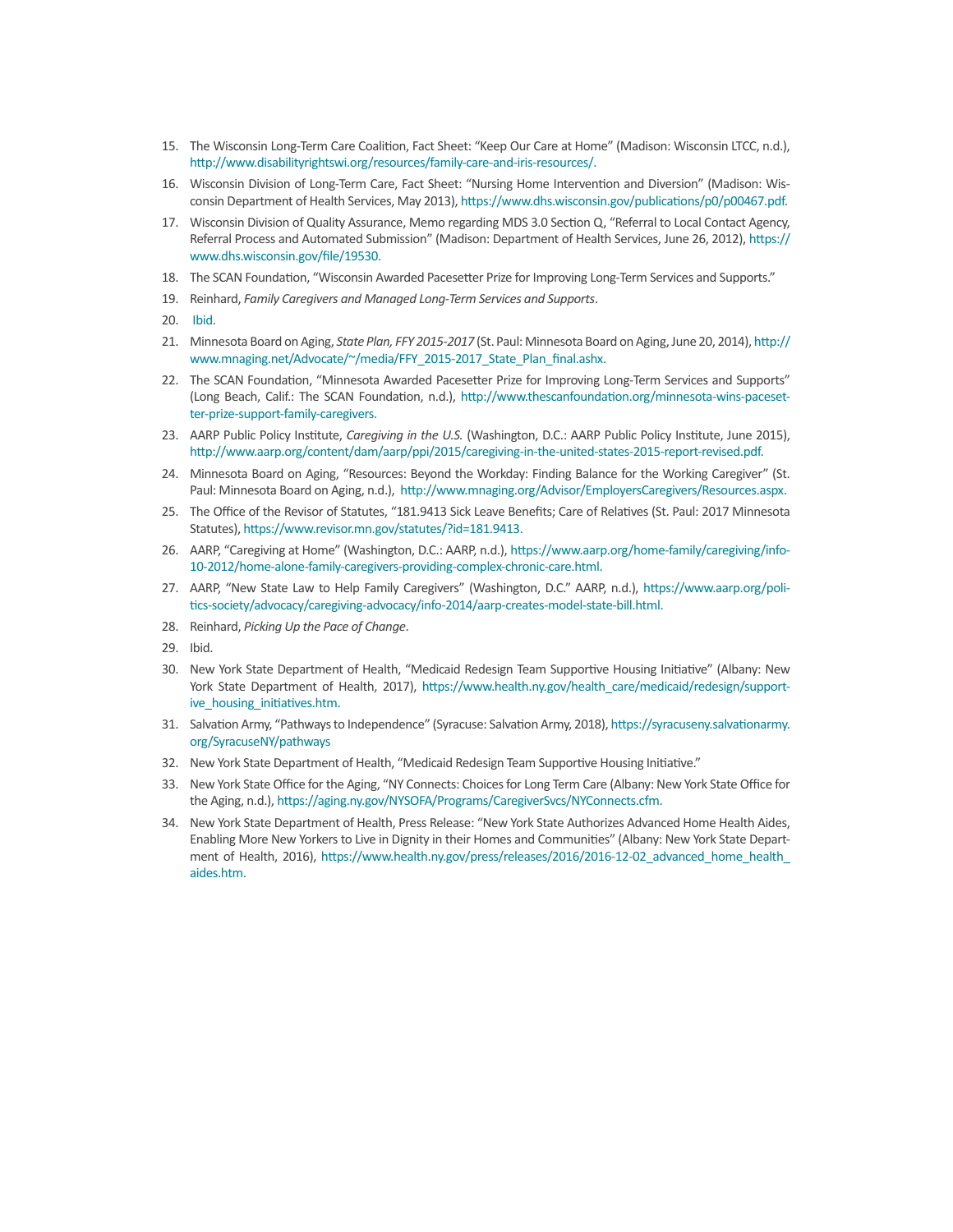- 15. The Wisconsin Long-Term Care Coalition, Fact Sheet: "Keep Our Care at Home" (Madison: Wisconsin LTCC, n.d.), http://www.disabilityrightswi.org/resources/family-care-and-iris-resources/.
- 16. Wisconsin Division of Long-Term Care, Fact Sheet: "Nursing Home Intervention and Diversion" (Madison: Wisconsin Department of Health Services, May 2013),<https://www.dhs.wisconsin.gov/publications/p0/p00467.pdf>.
- 17. Wisconsin Division of Quality Assurance, Memo regarding MDS 3.0 Section Q, "Referral to Local Contact Agency, Referral Process and Automated Submission" (Madison: Department of Health Services, June 26, 2012), [https://](https://www.dhs.wisconsin.gov/file/19530) [www.dhs.wisconsin.gov/file/19530.](https://www.dhs.wisconsin.gov/file/19530)
- 18. The SCAN Foundation, "Wisconsin Awarded Pacesetter Prize for Improving Long-Term Services and Supports."
- 19. Reinhard, *Family Caregivers and Managed Long-Term Services and Supports*.
- 20. [Ibid.](http://www.aarp.org/content/dam/aarp/ppi/2016-08/AARP1080_FSandMLTSS_REPORT_WEB.pdf)
- 21. Minnesota Board on Aging, *State Plan, FFY 2015-2017* (St. Paul: Minnesota Board on Aging, June 20, 2014), [http://](http://www.mnaging.net/Advocate/~/media/FFY_2015-2017_State_Plan_final.ashx) [www.mnaging.net/Advocate/~/media/FFY\\_2015-2017\\_State\\_Plan\\_final.ashx.](http://www.mnaging.net/Advocate/~/media/FFY_2015-2017_State_Plan_final.ashx)
- 22. The SCAN Foundation, "Minnesota Awarded Pacesetter Prize for Improving Long-Term Services and Supports" (Long Beach, Calif.: The SCAN Foundation, n.d.), [http://www.thescanfoundation.org/minnesota-wins-paceset](http://www.thescanfoundation.org/minnesota-wins-pacesetter-prize-support-family-caregivers)[ter-prize-support-family-caregivers](http://www.thescanfoundation.org/minnesota-wins-pacesetter-prize-support-family-caregivers).
- 23. AARP Public Policy Institute, *Caregiving in the U.S.* (Washington, D.C.: AARP Public Policy Institute, June 2015), [http://www.aarp.org/content/dam/aarp/ppi/2015/caregiving-in-the-united-states-2015-report-revised.pdf.](http://www.aarp.org/content/dam/aarp/ppi/2015/caregiving-in-the-united-states-2015-report-revised.pdf)
- 24. Minnesota Board on Aging, "Resources: Beyond the Workday: Finding Balance for the Working Caregiver" (St. Paul: Minnesota Board on Aging, n.d.), [http://www.mnaging.org/Advisor/EmployersCaregivers/Resources.aspx.](http://www.mnaging.org/Advisor/EmployersCaregivers/Resources.aspx)
- 25. The Office of the Revisor of Statutes, "181.9413 Sick Leave Benefits; Care of Relatives (St. Paul: 2017 Minnesota Statutes),<https://www.revisor.mn.gov/statutes/?id=181.9413>.
- 26. AARP, "Caregiving at Home" (Washington, D.C.: AARP, n.d.), [https://www.aarp.org/home-family/caregiving/info-](https://www.aarp.org/home-family/caregiving/info-10-2012/home-alone-family-caregivers-providing-complex-chronic-care.html)[10-2012/home-alone-family-caregivers-providing-complex-chronic-care.html](https://www.aarp.org/home-family/caregiving/info-10-2012/home-alone-family-caregivers-providing-complex-chronic-care.html).
- 27. AARP, "New State Law to Help Family Caregivers" (Washington, D.C." AARP, n.d.), [https://www.aarp.org/poli](https://www.aarp.org/politics-society/advocacy/caregiving-advocacy/info-2014/aarp-creates-model-state-bill.html)[tics-society/advocacy/caregiving-advocacy/info-2014/aarp-creates-model-state-bill.html](https://www.aarp.org/politics-society/advocacy/caregiving-advocacy/info-2014/aarp-creates-model-state-bill.html).
- 28. Reinhard, *Picking Up the Pace of Change*.
- 29. Ibid.
- 30. New York State Department of Health, "Medicaid Redesign Team Supportive Housing Initiative" (Albany: New York State Department of Health, 2017), [https://www.health.ny.gov/health\\_care/medicaid/redesign/support](https://www.health.ny.gov/health_care/medicaid/redesign/supportive_housing_initiatives.htm)[ive\\_housing\\_initiatives.htm.](https://www.health.ny.gov/health_care/medicaid/redesign/supportive_housing_initiatives.htm)
- 31. Salvation Army, "Pathways to Independence" (Syracuse: Salvation Army, 2018), [https://syracuseny.salvationarmy.](https://syracuseny.salvationarmy.org/SyracuseNY/pathways) [org/SyracuseNY/pathways](https://syracuseny.salvationarmy.org/SyracuseNY/pathways)
- 32. New York State Department of Health, "Medicaid Redesign Team Supportive Housing Initiative."
- 33. New York State Office for the Aging, "NY Connects: Choices for Long Term Care (Albany: New York State Office for the Aging, n.d.), [https://aging.ny.gov/NYSOFA/Programs/CaregiverSvcs/NYConnects.cfm.](https://aging.ny.gov/NYSOFA/Programs/CaregiverSvcs/NYConnects.cfm)
- 34. New York State Department of Health, Press Release: "New York State Authorizes Advanced Home Health Aides, Enabling More New Yorkers to Live in Dignity in their Homes and Communities" (Albany: New York State Department of Health, 2016), [https://www.health.ny.gov/press/releases/2016/2016-12-02\\_advanced\\_home\\_health\\_](https://www.health.ny.gov/press/releases/2016/2016-12-02_advanced_home_health_aides.htm) [aides.htm](https://www.health.ny.gov/press/releases/2016/2016-12-02_advanced_home_health_aides.htm).